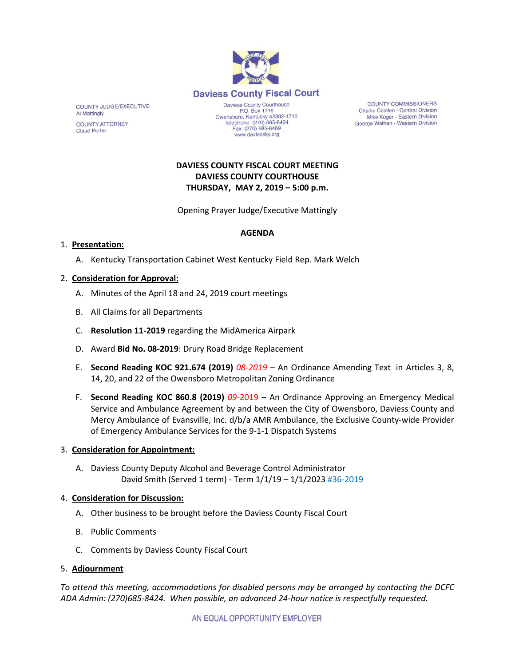

COUNTY JUDGE/EXECUTIVE **Al Mattingly COUNTY ATTORNEY Claud Porter** 

P.O. Box 1716 Owensboro, Kentucky 42302-1716<br>Telephone: (270) 685-8424 Fax: (270) 685-8469 www.daviessky.org

**COUNTY COMMISSIONERS** Charlie Castlen - Central Division Mike Koger - Eastern Division George Wathen - Western Division

# **DAVIESS COUNTY FISCAL COURT MEETING DAVIESS COUNTY COURTHOUSE THURSDAY, MAY 2, 2019 – 5:00 p.m.**

Opening Prayer Judge/Executive Mattingly

# **AGENDA**

# 1. **Presentation:**

A. Kentucky Transportation Cabinet West Kentucky Field Rep. Mark Welch

## 2. **Consideration for Approval:**

- A. Minutes of the April 18 and 24, 2019 court meetings
- B. All Claims for all Departments
- C. **Resolution 11-2019** regarding the MidAmerica Airpark
- D. Award **Bid No. 08-2019**: Drury Road Bridge Replacement
- E. **Second Reading KOC 921.674 (2019)** *08-2019* An Ordinance Amending Text in Articles 3, 8, 14, 20, and 22 of the Owensboro Metropolitan Zoning Ordinance
- F. **Second Reading KOC 860.8 (2019)** *09-*2019 An Ordinance Approving an Emergency Medical Service and Ambulance Agreement by and between the City of Owensboro, Daviess County and Mercy Ambulance of Evansville, Inc. d/b/a AMR Ambulance, the Exclusive County-wide Provider of Emergency Ambulance Services for the 9-1-1 Dispatch Systems

#### 3. **Consideration for Appointment:**

A. Daviess County Deputy Alcohol and Beverage Control Administrator David Smith (Served 1 term) - Term 1/1/19 – 1/1/2023 #36-2019

#### 4. **Consideration for Discussion:**

- A. Other business to be brought before the Daviess County Fiscal Court
- B. Public Comments
- C. Comments by Daviess County Fiscal Court

## 5. **Adjournment**

*To attend this meeting, accommodations for disabled persons may be arranged by contacting the DCFC ADA Admin: (270)685-8424. When possible, an advanced 24-hour notice is respectfully requested.*